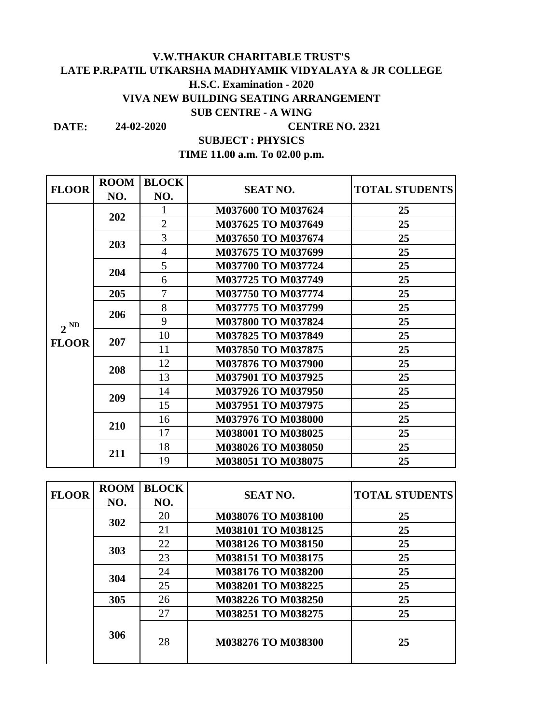## **LATE P.R.PATIL UTKARSHA MADHYAMIK VIDYALAYA & JR COLLEGE V.W.THAKUR CHARITABLE TRUST'S H.S.C. Examination - 2020 VIVA NEW BUILDING SEATING ARRANGEMENT SUB CENTRE - A WING**

**DATE:**

**24-02-2020 CENTRE NO. 2321**

**SUBJECT : PHYSICS**

**TIME 11.00 a.m. To 02.00 p.m.**

| <b>FLOOR</b> | <b>ROOM</b> | <b>BLOCK</b>   |                           |                       |
|--------------|-------------|----------------|---------------------------|-----------------------|
|              | NO.         | NO.            | <b>SEAT NO.</b>           | <b>TOTAL STUDENTS</b> |
|              | 202         |                | M037600 TO M037624        | 25                    |
|              |             | $\overline{2}$ | M037625 TO M037649        | 25                    |
|              | 203         | 3              | M037650 TO M037674        | 25                    |
|              |             | $\overline{4}$ | M037675 TO M037699        | 25                    |
|              | 204         | 5              | M037700 TO M037724        | 25                    |
|              |             | 6              | M037725 TO M037749        | 25                    |
|              | 205         | 7              | M037750 TO M037774        | 25                    |
|              | 206         | 8              | M037775 TO M037799        | 25                    |
| $2^{ND}$     |             | 9              | M037800 TO M037824        | 25                    |
|              | 207         | 10             | M037825 TO M037849        | 25                    |
| <b>FLOOR</b> |             | 11             | M037850 TO M037875        | 25                    |
|              | 208         | 12             | M037876 TO M037900        | 25                    |
|              |             | 13             | M037901 TO M037925        | 25                    |
|              | 209         | 14             | M037926 TO M037950        | 25                    |
|              |             | 15             | <b>M037951 TO M037975</b> | 25                    |
|              | 210         | 16             | M037976 TO M038000        | 25                    |
|              |             | 17             | M038001 TO M038025        | 25                    |
|              | 211         | 18             | M038026 TO M038050        | 25                    |
|              |             | 19             | M038051 TO M038075        | 25                    |

| <b>FLOOR</b> | <b>ROOM</b><br>NO. | <b>BLOCK</b><br>NO.      | <b>SEAT NO.</b>           | <b>TOTAL STUDENTS</b> |
|--------------|--------------------|--------------------------|---------------------------|-----------------------|
|              |                    | 20                       | M038076 TO M038100        | 25                    |
|              | 302                | 21                       | M038101 TO M038125        | 25                    |
|              | 303                | 22                       | M038126 TO M038150        | 25                    |
|              |                    | 23                       | <b>M038151 TO M038175</b> | 25                    |
|              | 304                | 24                       | M038176 TO M038200        | 25                    |
|              |                    | 25<br>M038201 TO M038225 | 25                        |                       |
|              | 305                | 26                       | M038226 TO M038250        | 25                    |
|              |                    | 27                       | M038251 TO M038275        | 25                    |
|              | 306                | 28                       | M038276 TO M038300        | 25                    |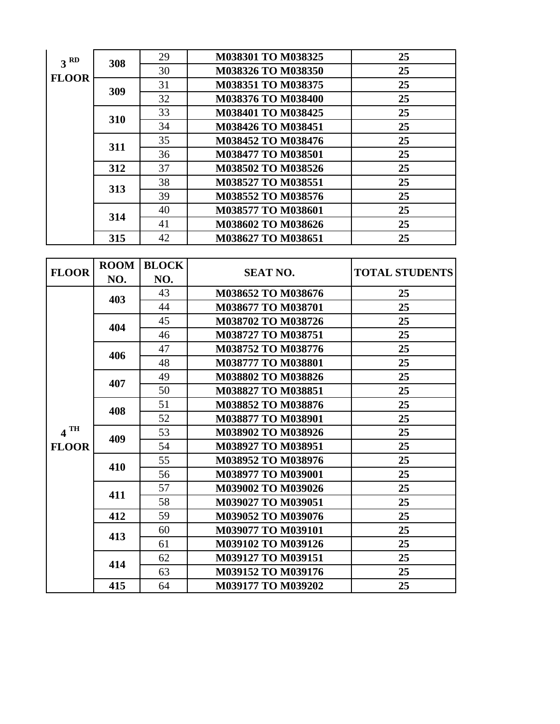| 3 <sup>RD</sup><br><b>FLOOR</b> | 308 | 29 | M038301 TO M038325        | 25 |
|---------------------------------|-----|----|---------------------------|----|
|                                 |     | 30 | M038326 TO M038350        | 25 |
|                                 | 309 | 31 | M038351 TO M038375        | 25 |
|                                 |     | 32 | M038376 TO M038400        | 25 |
|                                 | 310 | 33 | M038401 TO M038425        | 25 |
|                                 |     | 34 | M038426 TO M038451        | 25 |
|                                 | 311 | 35 | M038452 TO M038476        | 25 |
|                                 |     | 36 | <b>M038477 TO M038501</b> | 25 |
|                                 | 312 | 37 | M038502 TO M038526        | 25 |
|                                 | 313 | 38 | M038527 TO M038551        | 25 |
|                                 |     | 39 | M038552 TO M038576        | 25 |
|                                 |     | 40 | M038577 TO M038601        | 25 |
|                                 | 314 | 41 | M038602 TO M038626        | 25 |
|                                 | 315 | 42 | M038627 TO M038651        | 25 |

| <b>FLOOR</b>      | <b>ROOM</b> | <b>BLOCK</b> | <b>SEAT NO.</b>           | <b>TOTAL STUDENTS</b> |
|-------------------|-------------|--------------|---------------------------|-----------------------|
|                   | NO.         | NO.          |                           |                       |
|                   | 403         | 43           | M038652 TO M038676        | 25                    |
|                   |             | 44           | M038677 TO M038701        | 25                    |
|                   | 404         | 45           | M038702 TO M038726        | 25                    |
|                   |             | 46           | M038727 TO M038751        | 25                    |
|                   | 406         | 47           | M038752 TO M038776        | 25                    |
|                   |             | 48           | M038777 TO M038801        | 25                    |
|                   | 407         | 49           | M038802 TO M038826        | 25                    |
|                   |             | 50           | M038827 TO M038851        | 25                    |
|                   | 408         | 51           | M038852 TO M038876        | 25                    |
|                   |             | 52           | M038877 TO M038901        | 25                    |
| $4$ <sup>TH</sup> | 409         | 53           | M038902 TO M038926        | 25                    |
| <b>FLOOR</b>      |             | 54           | M038927 TO M038951        | 25                    |
|                   | 410         | 55           | M038952 TO M038976        | 25                    |
|                   |             | 56           | M038977 TO M039001        | 25                    |
|                   | 411         | 57           | M039002 TO M039026        | 25                    |
|                   |             | 58           | M039027 TO M039051        | 25                    |
|                   | 412         | 59           | M039052 TO M039076        | 25                    |
|                   | 413         | 60           | <b>M039077 TO M039101</b> | 25                    |
|                   |             | 61           | M039102 TO M039126        | 25                    |
|                   | 414         | 62           | M039127 TO M039151        | 25                    |
|                   |             | 63           | M039152 TO M039176        | 25                    |
|                   | 415         | 64           | M039177 TO M039202        | 25                    |